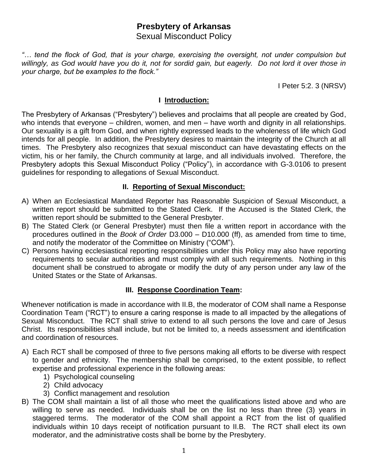# **Presbytery of Arkansas**

Sexual Misconduct Policy

*"… tend the flock of God, that is your charge, exercising the oversight, not under compulsion but willingly, as God would have you do it, not for sordid gain, but eagerly. Do not lord it over those in your charge, but be examples to the flock."*

I Peter 5:2. 3 (NRSV)

# **I Introduction:**

The Presbytery of Arkansas ("Presbytery") believes and proclaims that all people are created by God, who intends that everyone – children, women, and men – have worth and dignity in all relationships. Our sexuality is a gift from God, and when rightly expressed leads to the wholeness of life which God intends for all people. In addition, the Presbytery desires to maintain the integrity of the Church at all times. The Presbytery also recognizes that sexual misconduct can have devastating effects on the victim, his or her family, the Church community at large, and all individuals involved. Therefore, the Presbytery adopts this Sexual Misconduct Policy ("Policy"), in accordance with G-3.0106 to present guidelines for responding to allegations of Sexual Misconduct.

# **II. Reporting of Sexual Misconduct:**

- A) When an Ecclesiastical Mandated Reporter has Reasonable Suspicion of Sexual Misconduct, a written report should be submitted to the Stated Clerk. If the Accused is the Stated Clerk, the written report should be submitted to the General Presbyter.
- B) The Stated Clerk (or General Presbyter) must then file a written report in accordance with the procedures outlined in the *Book of Order* D3.000 – D10.000 (ff), as amended from time to time, and notify the moderator of the Committee on Ministry ("COM").
- C) Persons having ecclesiastical reporting responsibilities under this Policy may also have reporting requirements to secular authorities and must comply with all such requirements. Nothing in this document shall be construed to abrogate or modify the duty of any person under any law of the United States or the State of Arkansas.

# **III. Response Coordination Team:**

Whenever notification is made in accordance with II.B, the moderator of COM shall name a Response Coordination Team ("RCT") to ensure a caring response is made to all impacted by the allegations of Sexual Misconduct. The RCT shall strive to extend to all such persons the love and care of Jesus Christ. Its responsibilities shall include, but not be limited to, a needs assessment and identification and coordination of resources.

- A) Each RCT shall be composed of three to five persons making all efforts to be diverse with respect to gender and ethnicity. The membership shall be comprised, to the extent possible, to reflect expertise and professional experience in the following areas:
	- 1) Psychological counseling
	- 2) Child advocacy
	- 3) Conflict management and resolution
- B) The COM shall maintain a list of all those who meet the qualifications listed above and who are willing to serve as needed. Individuals shall be on the list no less than three (3) years in staggered terms. The moderator of the COM shall appoint a RCT from the list of qualified individuals within 10 days receipt of notification pursuant to II.B. The RCT shall elect its own moderator, and the administrative costs shall be borne by the Presbytery.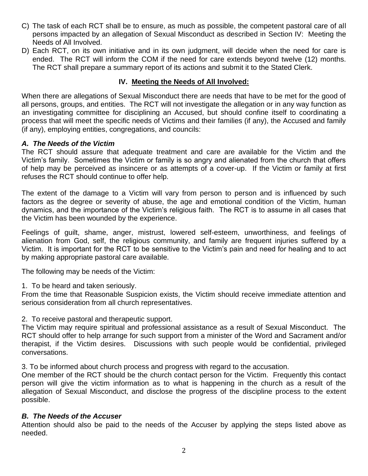- C) The task of each RCT shall be to ensure, as much as possible, the competent pastoral care of all persons impacted by an allegation of Sexual Misconduct as described in Section IV: Meeting the Needs of All Involved.
- D) Each RCT, on its own initiative and in its own judgment, will decide when the need for care is ended. The RCT will inform the COM if the need for care extends beyond twelve (12) months. The RCT shall prepare a summary report of its actions and submit it to the Stated Clerk.

# **IV. Meeting the Needs of All Involved:**

When there are allegations of Sexual Misconduct there are needs that have to be met for the good of all persons, groups, and entities. The RCT will not investigate the allegation or in any way function as an investigating committee for disciplining an Accused, but should confine itself to coordinating a process that will meet the specific needs of Victims and their families (if any), the Accused and family (if any), employing entities, congregations, and councils:

# *A. The Needs of the Victim*

The RCT should assure that adequate treatment and care are available for the Victim and the Victim's family. Sometimes the Victim or family is so angry and alienated from the church that offers of help may be perceived as insincere or as attempts of a cover-up. If the Victim or family at first refuses the RCT should continue to offer help.

The extent of the damage to a Victim will vary from person to person and is influenced by such factors as the degree or severity of abuse, the age and emotional condition of the Victim, human dynamics, and the importance of the Victim's religious faith. The RCT is to assume in all cases that the Victim has been wounded by the experience.

Feelings of guilt, shame, anger, mistrust, lowered self-esteem, unworthiness, and feelings of alienation from God, self, the religious community, and family are frequent injuries suffered by a Victim. It is important for the RCT to be sensitive to the Victim's pain and need for healing and to act by making appropriate pastoral care available.

The following may be needs of the Victim:

1. To be heard and taken seriously.

From the time that Reasonable Suspicion exists, the Victim should receive immediate attention and serious consideration from all church representatives.

#### 2. To receive pastoral and therapeutic support.

The Victim may require spiritual and professional assistance as a result of Sexual Misconduct. The RCT should offer to help arrange for such support from a minister of the Word and Sacrament and/or therapist, if the Victim desires. Discussions with such people would be confidential, privileged conversations.

3. To be informed about church process and progress with regard to the accusation.

One member of the RCT should be the church contact person for the Victim. Frequently this contact person will give the victim information as to what is happening in the church as a result of the allegation of Sexual Misconduct, and disclose the progress of the discipline process to the extent possible.

#### *B. The Needs of the Accuser*

Attention should also be paid to the needs of the Accuser by applying the steps listed above as needed.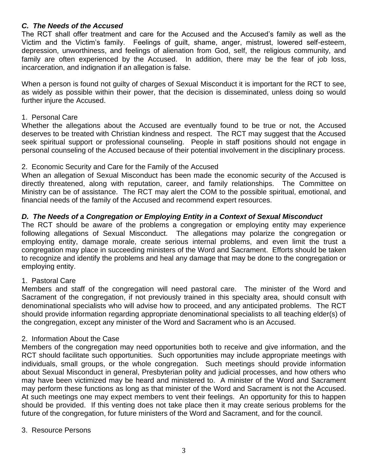# *C. The Needs of the Accused*

The RCT shall offer treatment and care for the Accused and the Accused's family as well as the Victim and the Victim's family. Feelings of guilt, shame, anger, mistrust, lowered self-esteem, depression, unworthiness, and feelings of alienation from God, self, the religious community, and family are often experienced by the Accused. In addition, there may be the fear of job loss, incarceration, and indignation if an allegation is false.

When a person is found not guilty of charges of Sexual Misconduct it is important for the RCT to see, as widely as possible within their power, that the decision is disseminated, unless doing so would further injure the Accused.

### 1. Personal Care

Whether the allegations about the Accused are eventually found to be true or not, the Accused deserves to be treated with Christian kindness and respect. The RCT may suggest that the Accused seek spiritual support or professional counseling. People in staff positions should not engage in personal counseling of the Accused because of their potential involvement in the disciplinary process.

# 2. Economic Security and Care for the Family of the Accused

When an allegation of Sexual Misconduct has been made the economic security of the Accused is directly threatened, along with reputation, career, and family relationships. The Committee on Ministry can be of assistance. The RCT may alert the COM to the possible spiritual, emotional, and financial needs of the family of the Accused and recommend expert resources.

# *D. The Needs of a Congregation or Employing Entity in a Context of Sexual Misconduct*

The RCT should be aware of the problems a congregation or employing entity may experience following allegations of Sexual Misconduct. The allegations may polarize the congregation or employing entity, damage morale, create serious internal problems, and even limit the trust a congregation may place in succeeding ministers of the Word and Sacrament. Efforts should be taken to recognize and identify the problems and heal any damage that may be done to the congregation or employing entity.

#### 1. Pastoral Care

Members and staff of the congregation will need pastoral care. The minister of the Word and Sacrament of the congregation, if not previously trained in this specialty area, should consult with denominational specialists who will advise how to proceed, and any anticipated problems. The RCT should provide information regarding appropriate denominational specialists to all teaching elder(s) of the congregation, except any minister of the Word and Sacrament who is an Accused.

#### 2. Information About the Case

Members of the congregation may need opportunities both to receive and give information, and the RCT should facilitate such opportunities. Such opportunities may include appropriate meetings with individuals, small groups, or the whole congregation. Such meetings should provide information about Sexual Misconduct in general, Presbyterian polity and judicial processes, and how others who may have been victimized may be heard and ministered to. A minister of the Word and Sacrament may perform these functions as long as that minister of the Word and Sacrament is not the Accused. At such meetings one may expect members to vent their feelings. An opportunity for this to happen should be provided. If this venting does not take place then it may create serious problems for the future of the congregation, for future ministers of the Word and Sacrament, and for the council.

#### 3. Resource Persons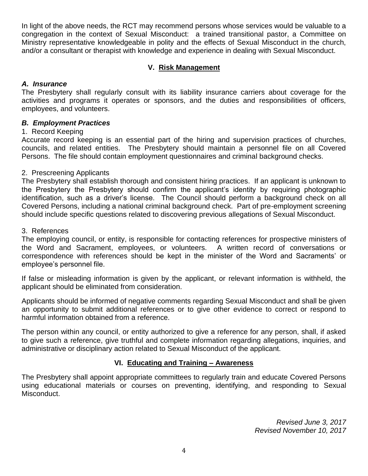In light of the above needs, the RCT may recommend persons whose services would be valuable to a congregation in the context of Sexual Misconduct: a trained transitional pastor, a Committee on Ministry representative knowledgeable in polity and the effects of Sexual Misconduct in the church, and/or a consultant or therapist with knowledge and experience in dealing with Sexual Misconduct.

# **V. Risk Management**

# *A. Insurance*

The Presbytery shall regularly consult with its liability insurance carriers about coverage for the activities and programs it operates or sponsors, and the duties and responsibilities of officers, employees, and volunteers.

# *B. Employment Practices*

# 1. Record Keeping

Accurate record keeping is an essential part of the hiring and supervision practices of churches, councils, and related entities. The Presbytery should maintain a personnel file on all Covered Persons. The file should contain employment questionnaires and criminal background checks.

# 2. Prescreening Applicants

The Presbytery shall establish thorough and consistent hiring practices. If an applicant is unknown to the Presbytery the Presbytery should confirm the applicant's identity by requiring photographic identification, such as a driver's license. The Council should perform a background check on all Covered Persons, including a national criminal background check. Part of pre-employment screening should include specific questions related to discovering previous allegations of Sexual Misconduct.

#### 3. References

The employing council, or entity, is responsible for contacting references for prospective ministers of the Word and Sacrament, employees, or volunteers. A written record of conversations or correspondence with references should be kept in the minister of the Word and Sacraments' or employee's personnel file.

If false or misleading information is given by the applicant, or relevant information is withheld, the applicant should be eliminated from consideration.

Applicants should be informed of negative comments regarding Sexual Misconduct and shall be given an opportunity to submit additional references or to give other evidence to correct or respond to harmful information obtained from a reference.

The person within any council, or entity authorized to give a reference for any person, shall, if asked to give such a reference, give truthful and complete information regarding allegations, inquiries, and administrative or disciplinary action related to Sexual Misconduct of the applicant.

# **VI. Educating and Training – Awareness**

The Presbytery shall appoint appropriate committees to regularly train and educate Covered Persons using educational materials or courses on preventing, identifying, and responding to Sexual Misconduct.

> *Revised June 3, 2017 Revised November 10, 2017*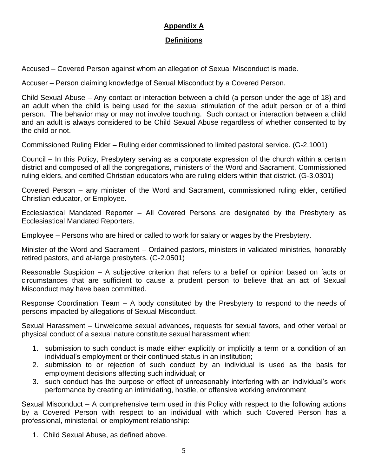# **Appendix A**

# **Definitions**

Accused – Covered Person against whom an allegation of Sexual Misconduct is made.

Accuser – Person claiming knowledge of Sexual Misconduct by a Covered Person.

Child Sexual Abuse – Any contact or interaction between a child (a person under the age of 18) and an adult when the child is being used for the sexual stimulation of the adult person or of a third person. The behavior may or may not involve touching. Such contact or interaction between a child and an adult is always considered to be Child Sexual Abuse regardless of whether consented to by the child or not.

Commissioned Ruling Elder – Ruling elder commissioned to limited pastoral service. (G-2.1001)

Council – In this Policy, Presbytery serving as a corporate expression of the church within a certain district and composed of all the congregations, ministers of the Word and Sacrament, Commissioned ruling elders, and certified Christian educators who are ruling elders within that district. (G-3.0301)

Covered Person – any minister of the Word and Sacrament, commissioned ruling elder, certified Christian educator, or Employee.

Ecclesiastical Mandated Reporter – All Covered Persons are designated by the Presbytery as Ecclesiastical Mandated Reporters.

Employee – Persons who are hired or called to work for salary or wages by the Presbytery.

Minister of the Word and Sacrament – Ordained pastors, ministers in validated ministries, honorably retired pastors, and at-large presbyters. (G-2.0501)

Reasonable Suspicion – A subjective criterion that refers to a belief or opinion based on facts or circumstances that are sufficient to cause a prudent person to believe that an act of Sexual Misconduct may have been committed.

Response Coordination Team – A body constituted by the Presbytery to respond to the needs of persons impacted by allegations of Sexual Misconduct.

Sexual Harassment – Unwelcome sexual advances, requests for sexual favors, and other verbal or physical conduct of a sexual nature constitute sexual harassment when:

- 1. submission to such conduct is made either explicitly or implicitly a term or a condition of an individual's employment or their continued status in an institution;
- 2. submission to or rejection of such conduct by an individual is used as the basis for employment decisions affecting such individual; or
- 3. such conduct has the purpose or effect of unreasonably interfering with an individual's work performance by creating an intimidating, hostile, or offensive working environment

Sexual Misconduct – A comprehensive term used in this Policy with respect to the following actions by a Covered Person with respect to an individual with which such Covered Person has a professional, ministerial, or employment relationship:

1. Child Sexual Abuse, as defined above.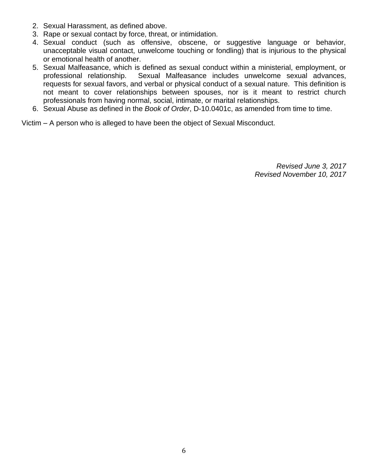- 2. Sexual Harassment, as defined above.
- 3. Rape or sexual contact by force, threat, or intimidation.
- 4. Sexual conduct (such as offensive, obscene, or suggestive language or behavior, unacceptable visual contact, unwelcome touching or fondling) that is injurious to the physical or emotional health of another.
- 5. Sexual Malfeasance, which is defined as sexual conduct within a ministerial, employment, or professional relationship. Sexual Malfeasance includes unwelcome sexual advances, requests for sexual favors, and verbal or physical conduct of a sexual nature. This definition is not meant to cover relationships between spouses, nor is it meant to restrict church professionals from having normal, social, intimate, or marital relationships.
- 6. Sexual Abuse as defined in the *Book of Order*, D-10.0401c, as amended from time to time.

Victim – A person who is alleged to have been the object of Sexual Misconduct.

*Revised June 3, 2017 Revised November 10, 2017*